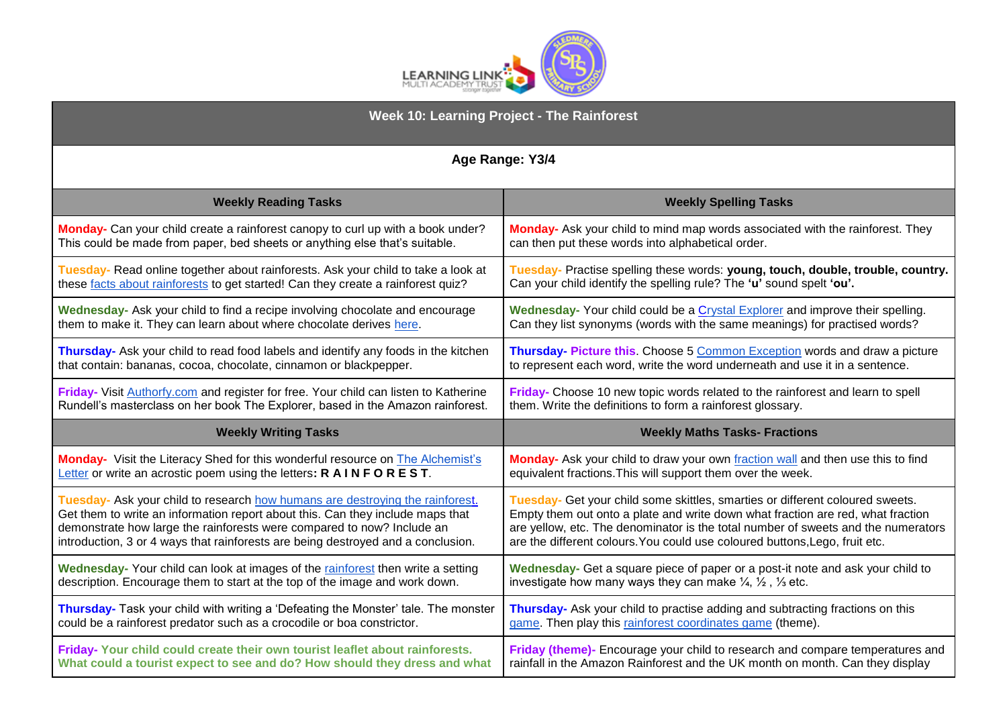

| Week 10: Learning Project - The Rainforest                                           |                                                                                            |
|--------------------------------------------------------------------------------------|--------------------------------------------------------------------------------------------|
| Age Range: Y3/4                                                                      |                                                                                            |
| <b>Weekly Reading Tasks</b>                                                          | <b>Weekly Spelling Tasks</b>                                                               |
| Monday- Can your child create a rainforest canopy to curl up with a book under?      | Monday- Ask your child to mind map words associated with the rainforest. They              |
| This could be made from paper, bed sheets or anything else that's suitable.          | can then put these words into alphabetical order.                                          |
| Tuesday- Read online together about rainforests. Ask your child to take a look at    | Tuesday- Practise spelling these words: young, touch, double, trouble, country.            |
| these facts about rainforests to get started! Can they create a rainforest quiz?     | Can your child identify the spelling rule? The 'u' sound spelt 'ou'.                       |
| Wednesday- Ask your child to find a recipe involving chocolate and encourage         | Wednesday- Your child could be a Crystal Explorer and improve their spelling.              |
| them to make it. They can learn about where chocolate derives here.                  | Can they list synonyms (words with the same meanings) for practised words?                 |
| Thursday- Ask your child to read food labels and identify any foods in the kitchen   | Thursday- Picture this. Choose 5 Common Exception words and draw a picture                 |
| that contain: bananas, cocoa, chocolate, cinnamon or blackpepper.                    | to represent each word, write the word underneath and use it in a sentence.                |
| Friday- Visit Authorfy.com and register for free. Your child can listen to Katherine | Friday- Choose 10 new topic words related to the rainforest and learn to spell             |
| Rundell's masterclass on her book The Explorer, based in the Amazon rainforest.      | them. Write the definitions to form a rainforest glossary.                                 |
| <b>Weekly Writing Tasks</b>                                                          | <b>Weekly Maths Tasks- Fractions</b>                                                       |
| Monday- Visit the Literacy Shed for this wonderful resource on The Alchemist's       | Monday- Ask your child to draw your own fraction wall and then use this to find            |
| Letter or write an acrostic poem using the letters: R AINFOREST.                     | equivalent fractions. This will support them over the week.                                |
| Tuesday- Ask your child to research how humans are destroying the rainforest.        | Tuesday- Get your child some skittles, smarties or different coloured sweets.              |
| Get them to write an information report about this. Can they include maps that       | Empty them out onto a plate and write down what fraction are red, what fraction            |
| demonstrate how large the rainforests were compared to now? Include an               | are yellow, etc. The denominator is the total number of sweets and the numerators          |
| introduction, 3 or 4 ways that rainforests are being destroyed and a conclusion.     | are the different colours. You could use coloured buttons, Lego, fruit etc.                |
| Wednesday- Your child can look at images of the rainforest then write a setting      | Wednesday- Get a square piece of paper or a post-it note and ask your child to             |
| description. Encourage them to start at the top of the image and work down.          | investigate how many ways they can make $\frac{1}{4}$ , $\frac{1}{2}$ , $\frac{1}{3}$ etc. |
| Thursday- Task your child with writing a 'Defeating the Monster' tale. The monster   | Thursday- Ask your child to practise adding and subtracting fractions on this              |
| could be a rainforest predator such as a crocodile or boa constrictor.               | game. Then play this rainforest coordinates game (theme).                                  |
| Friday- Your child could create their own tourist leaflet about rainforests.         | Friday (theme)- Encourage your child to research and compare temperatures and              |
| What could a tourist expect to see and do? How should they dress and what            | rainfall in the Amazon Rainforest and the UK month on month. Can they display              |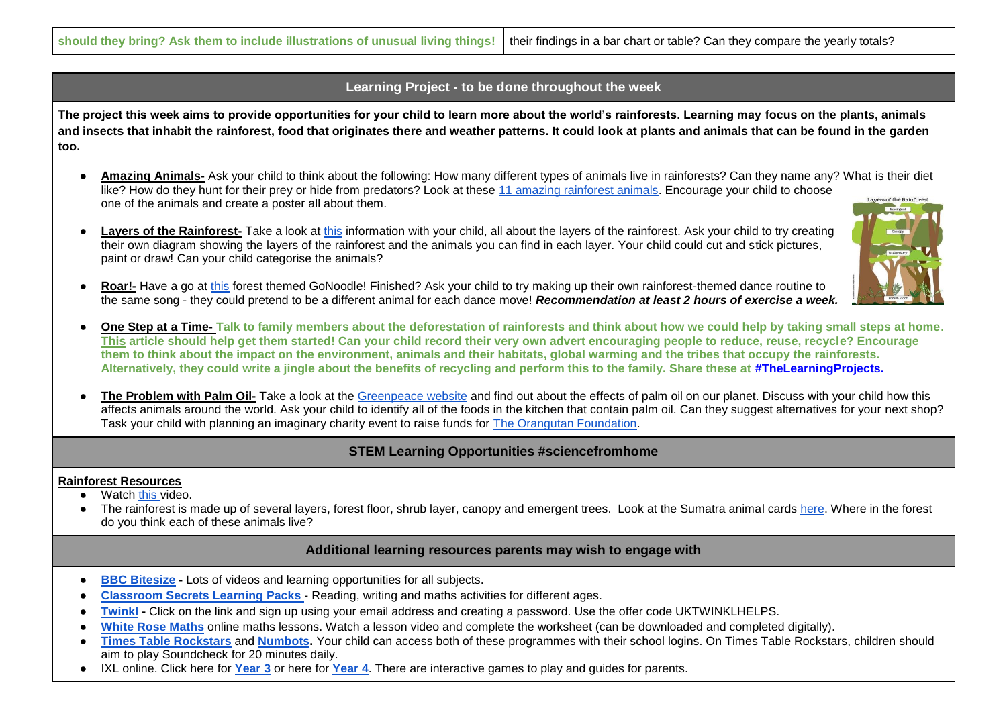## **Learning Project - to be done throughout the week**

**The project this week aims to provide opportunities for your child to learn more about the world's rainforests. Learning may focus on the plants, animals and insects that inhabit the rainforest, food that originates there and weather patterns. It could look at plants and animals that can be found in the garden too.**

- **Amazing Animals-** Ask your child to think about the following: How many different types of animals live in rainforests? Can they name any? What is their diet like? How do they hunt for their prey or hide from predators? Look at these [11 amazing rainforest animals.](https://www.rainforest-alliance.org/articles/11-amazing-rainforest-animals) Encourage your child to choose ayers of the Rainfores one of the animals and create a poster all about them.
- **Layers of the Rainforest-** Take a look at [this](https://www.rainforest-alliance.org/sites/default/files/2016-10/rainforest_layers.pdf) information with your child, all about the layers of the rainforest. Ask your child to try creating their own diagram showing the layers of the rainforest and the animals you can find in each layer. Your child could cut and stick pictures, paint or draw! Can your child categorise the animals?
- **Roar!-** Have a go at [this](https://family.gonoodle.com/activities/roar) forest themed GoNoodle! Finished? Ask your child to try making up their own rainforest-themed dance routine to the same song - they could pretend to be a different animal for each dance move! *Recommendation at least 2 hours of exercise a week.*
- **One Step at a Time-** Talk to family members about the deforestation of rainforests and think about how we could help by taking small steps at home. **[This](https://www.rainforest-alliance.org/articles/10-ways-kids-can-save-the-rainforest) article should help get them started! Can your child record their very own advert encouraging people to reduce, reuse, recycle? Encourage them to think about the impact on the environment, animals and their habitats, global warming and the tribes that occupy the rainforests. Alternatively, they could write a jingle about the benefits of recycling and perform this to the family. Share these at #TheLearningProjects.**
- **The Problem with Palm Oil-** Take a look at the [Greenpeace website](https://www.greenpeace.org.uk/challenges/palm-oil/) and find out about the effects of palm oil on our planet. Discuss with your child how this affects animals around the world. Ask your child to identify all of the foods in the kitchen that contain palm oil. Can they suggest alternatives for your next shop? Task your child with planning an imaginary charity event to raise funds for [The Orangutan Foundation.](https://www.orangutan.org.uk/)

## **STEM Learning Opportunities #sciencefromhome**

#### **Rainforest Resources**

- Watch [this v](https://bit.ly/3eq4TOm)ideo.
- The rainforest is made up of several layers, forest floor, shrub layer, canopy and emergent trees. Look at the Sumatra animal cards [here.](https://www.stem.org.uk/user/login?destination=system/files/elibrary-resources/2016/05/Resource%20sheets%20SaveOurHome.pdf) Where in the forest do you think each of these animals live?

### **Additional learning resources parents may wish to engage with**

- **[BBC Bitesize](https://www.bbc.co.uk/bitesize/levels/zbr9wmn) -** Lots of videos and learning opportunities for all subjects.
- **[Classroom Secrets Learning Packs](https://classroomsecrets.co.uk/free-home-learning-packs/)** [-](https://classroomsecrets.co.uk/free-home-learning-packs/) Reading, writing and maths activities for different ages.
- **[Twinkl](https://www.twinkl.co.uk/offer/UKTWINKLHELPS?utm_source=promo&utm_medium=email&utm_campaign=England_coronavirus_schools_email&utm_content=offer_link) -** Click on the link and sign up using your email address and creating a password. Use the offer code UKTWINKLHELPS.
- [White Rose Maths](https://whiterosemaths.com/homelearning/) online maths lessons. Watch a lesson video and complete the worksheet (can be downloaded and completed digitally).
- **[Times Table Rockstars](https://play.ttrockstars.com/auth/school) and [Numbots.](https://numbots.com/)** Your child can access both of these programmes with their school logins. On Times Table Rockstars, children should aim to play Soundcheck for 20 minutes daily.
- IXL online. Click here for **[Year 3](https://uk.ixl.com/math/year-3)** or here for **[Year 4](https://uk.ixl.com/math/year-4)**. There are interactive games to play and guides for parents.